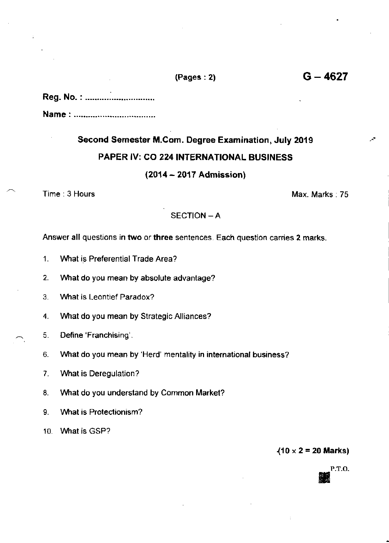## Reg. No. :

Name :

# Second Semester M.Com. Degree Examination, July 2019 PAPER lV: CO 224 INTERNATIONAL BUSINESS  $(2014 - 2017$  Admission)

Time : 3 Hours Max- Maximum of the Contract of the Max- Max- Max- Marks : 75

### $SECTION - A$

Answer all questions in two or three sentences. Each question carries 2 marks.

- 1. Vvhat is Preferential Trade Area?
- 2. What do you mean by absolute advantage?
- 3. What is Leontief Paradox?
- 4. What do you mean by Strategic Alliances?
- 5. Define'Franchising'.
	- 6. What do you mean by 'Herd' mentality in international business?
	- 7. What is Deregulation?
	- 8. What do you understand by Common Market?
	- 9. Vvhat is Protectionism?
	- 10. What is GSP?

#### $(10\times2=20$  Marks)

P.T.O.

 $(Pa*q*es : 2)$   $G-4627$